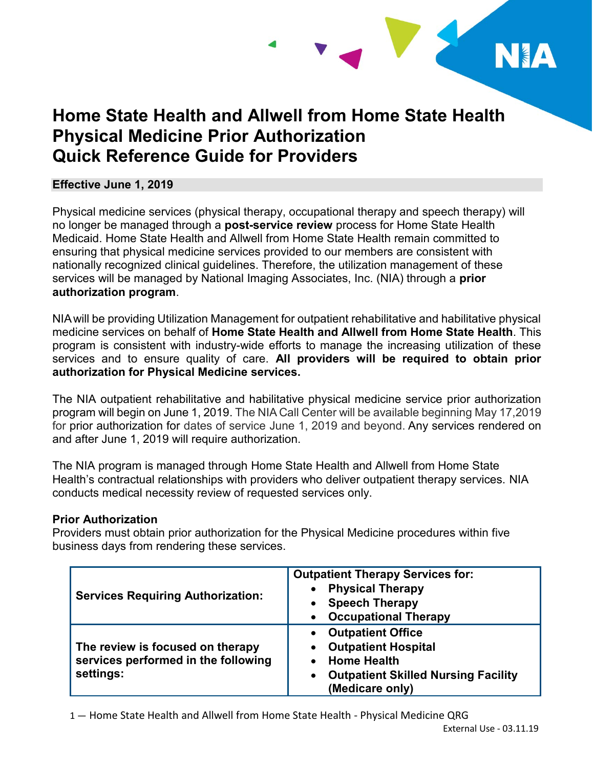

# **Home State Health and Allwell from Home State Health Physical Medicine Prior Authorization Quick Reference Guide for Providers**

#### **Effective June 1, 2019**

 no longer be managed through a **post-service review** process for Home State Health Medicaid. Home State Health and Allwell from Home State Health remain committed to nationally recognized clinical guidelines. Therefore, the utilization management of these Physical medicine services (physical therapy, occupational therapy and speech therapy) will ensuring that physical medicine services provided to our members are consistent with services will be managed by National Imaging Associates, Inc. (NIA) through a **prior authorization program**.

 NIAwill be providing Utilization Management for outpatient rehabilitative and habilitative physical medicine services on behalf of **Home State Health and Allwell from Home State Health**. This program is consistent with industry-wide efforts to manage the increasing utilization of these services and to ensure quality of care. **All providers will be required to obtain prior authorization for Physical Medicine services.** 

 The NIA outpatient rehabilitative and habilitative physical medicine service prior authorization program will begin on June 1, 2019. The NIA Call Center will be available beginning May 17,2019 for prior authorization for dates of service June 1, 2019 and beyond. Any services rendered on and after June 1, 2019 will require authorization.

 The NIA program is managed through Home State Health and Allwell from Home State Health's contractual relationships with providers who deliver outpatient therapy services. NIA conducts medical necessity review of requested services only.

#### **Prior Authorization**

 Providers must obtain prior authorization for the Physical Medicine procedures within five business days from rendering these services.

| <b>Services Requiring Authorization:</b>                                             | <b>Outpatient Therapy Services for:</b><br><b>Physical Therapy</b><br><b>Speech Therapy</b><br><b>Occupational Therapy</b>                    |
|--------------------------------------------------------------------------------------|-----------------------------------------------------------------------------------------------------------------------------------------------|
| The review is focused on therapy<br>services performed in the following<br>settings: | <b>Outpatient Office</b><br><b>Outpatient Hospital</b><br><b>Home Health</b><br><b>Outpatient Skilled Nursing Facility</b><br>(Medicare only) |

1 — Home State Health and Allwell from Home State Health - Physical Medicine QRG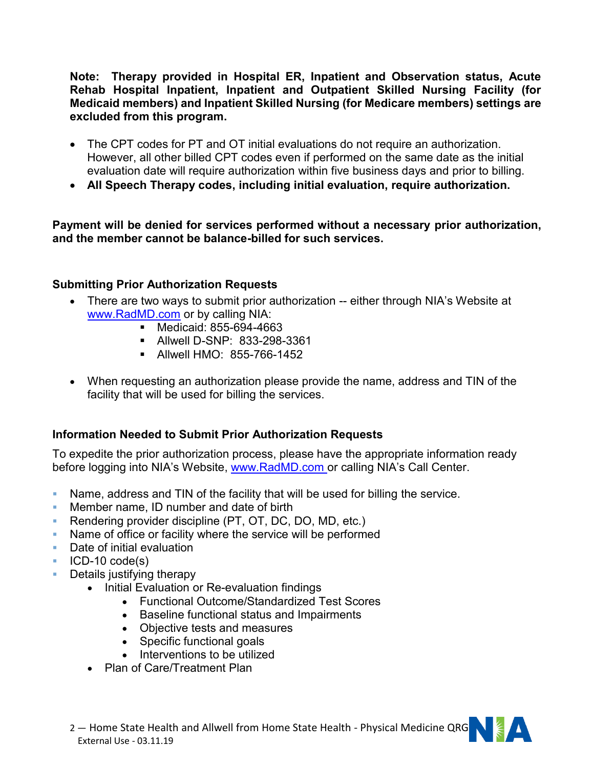**Note: Therapy provided in Hospital ER, Inpatient and Observation status, Acute Rehab Hospital Inpatient, Inpatient and Outpatient Skilled Nursing Facility (for Medicaid members) and Inpatient Skilled Nursing (for Medicare members) settings are excluded from this program.** 

- The CPT codes for PT and OT initial evaluations do not require an authorization. evaluation date will require authorization within five business days and prior to billing. However, all other billed CPT codes even if performed on the same date as the initial
- **All Speech Therapy codes, including initial evaluation, require authorization.**

 **Payment will be denied for services performed without a necessary prior authorization, and the member cannot be balance-billed for such services.** 

## **Submitting Prior Authorization Requests**

- There are two ways to submit prior authorization -- either through NIA's Website at [www.RadMD.com](http://www.RadMD.com) or by calling NIA:
	- **Medicaid: 855-694-4663**
	- Allwell D-SNP: 833-298-3361
	- Allwell HMO: 855-766-1452
- When requesting an authorization please provide the name, address and TIN of the facility that will be used for billing the services.

# **Information Needed to Submit Prior Authorization Requests**

To expedite the prior authorization process, please have the appropriate information ready before logging into NIA's Website, [www.RadMD.com](http://www.RadMD.com) or calling NIA's Call Center.

- Name, address and TIN of the facility that will be used for billing the service.
- Member name, ID number and date of birth
- Rendering provider discipline (PT, OT, DC, DO, MD, etc.)
- Name of office or facility where the service will be performed
- **Date of initial evaluation**
- $\blacksquare$  ICD-10 code(s)
- **Details justifying therapy** 
	- Initial Evaluation or Re-evaluation findings
		- Functional Outcome/Standardized Test Scores
		- Baseline functional status and Impairments
		- Objective tests and measures
		- Specific functional goals
		- Interventions to be utilized
	- Plan of Care/Treatment Plan



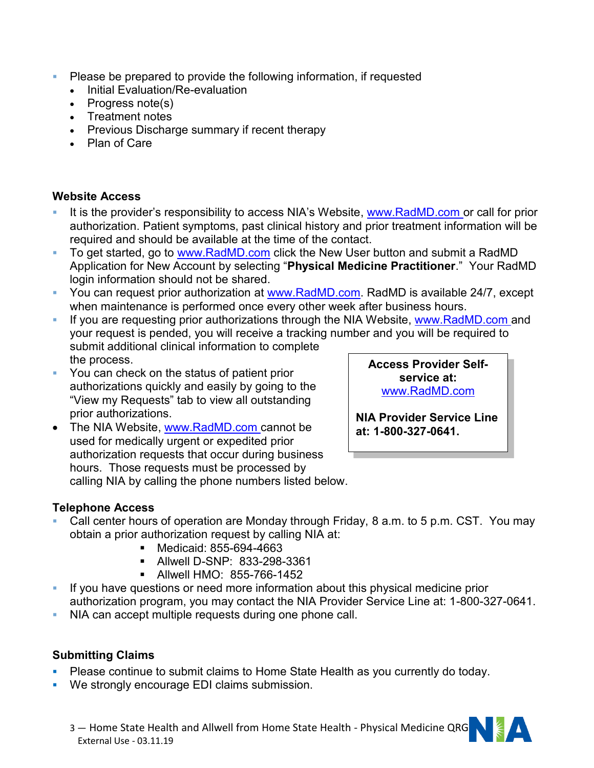- **Please be prepared to provide the following information, if requested** 
	- Initial Evaluation/Re-evaluation
	- $\bullet$  Progress note(s)
	- Treatment notes
	- Previous Discharge summary if recent therapy
	- Plan of Care

## **Website Access**

- It is the provider's responsibility to access NIA's Website, [www.RadMD.com](http://www.RadMD.com) or call for prior authorization. Patient symptoms, past clinical history and prior treatment information will be required and should be available at the time of the contact.
- To get started, go to [www.RadMD.com](http://www.RadMD.com) click the New User button and submit a RadMD  Application for New Account by selecting "**Physical Medicine Practitioner**." Your RadMD login information should not be shared.
- You can request prior authorization at [www.RadMD.com.](http://www.RadMD.com) RadMD is available 24/7, except when maintenance is performed once every other week after business hours.
- If you are requesting prior authorizations through the NIA Website, [www.RadMD.com](http://www.RadMD.com) and your request is pended, you will receive a tracking number and you will be required to submit additional clinical information to complete the process.
- You can check on the status of patient prior authorizations quickly and easily by going to the "View my Requests" tab to view all outstanding prior authorizations.
- The NIA Website, [www.RadMD.com](http://www.RadMD.com) cannot be used for medically urgent or expedited prior hours. Those requests must be processed by calling NIA by calling the phone numbers listed below. authorization requests that occur during business

#### **Access Provider Selfservice at:**  [www.RadMD.com](http://www.RadMD.com)

**NIA Provider Service Line at: 1-800-327-0641.** 

# **Telephone Access**

- Call center hours of operation are Monday through Friday, 8 a.m. to 5 p.m. CST. You may obtain a prior authorization request by calling NIA at:
	- Medicaid: 855-694-4663
	- Allwell D-SNP: 833-298-3361
	- Allwell HMO: 855-766-1452
- If you have questions or need more information about this physical medicine prior authorization program, you may contact the NIA Provider Service Line at: 1-800-327-0641.
- NIA can accept multiple requests during one phone call.

### **Submitting Claims**

- Please continue to submit claims to Home State Health as you currently do today.
- **We strongly encourage EDI claims submission.**